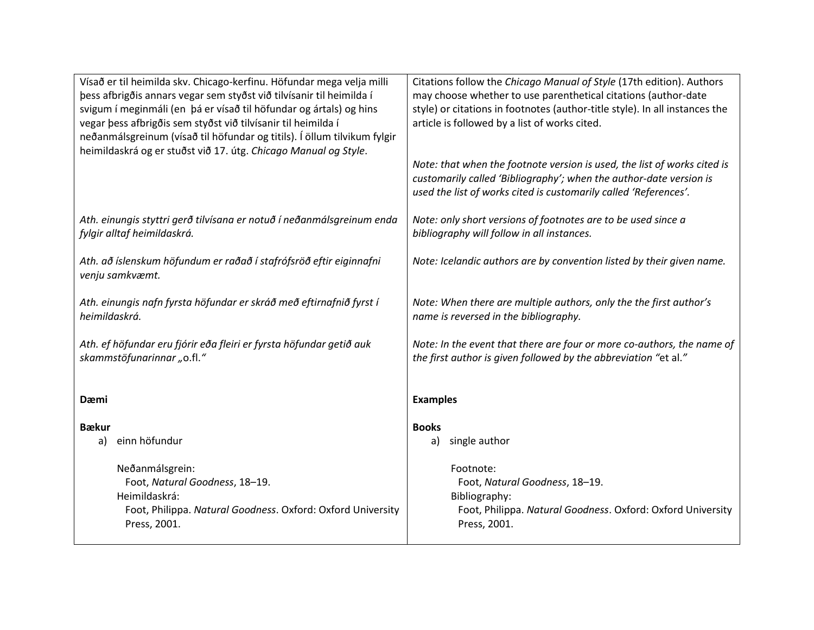| Vísað er til heimilda skv. Chicago-kerfinu. Höfundar mega velja milli<br>þess afbrigðis annars vegar sem styðst við tilvísanir til heimilda í<br>svigum í meginmáli (en þá er vísað til höfundar og ártals) og hins<br>vegar þess afbrigðis sem styðst við tilvísanir til heimilda í<br>neðanmálsgreinum (vísað til höfundar og titils). Í öllum tilvikum fylgir<br>heimildaskrá og er stuðst við 17. útg. Chicago Manual og Style. | Citations follow the Chicago Manual of Style (17th edition). Authors<br>may choose whether to use parenthetical citations (author-date<br>style) or citations in footnotes (author-title style). In all instances the<br>article is followed by a list of works cited.<br>Note: that when the footnote version is used, the list of works cited is<br>customarily called 'Bibliography'; when the author-date version is<br>used the list of works cited is customarily called 'References'. |
|-------------------------------------------------------------------------------------------------------------------------------------------------------------------------------------------------------------------------------------------------------------------------------------------------------------------------------------------------------------------------------------------------------------------------------------|----------------------------------------------------------------------------------------------------------------------------------------------------------------------------------------------------------------------------------------------------------------------------------------------------------------------------------------------------------------------------------------------------------------------------------------------------------------------------------------------|
| Ath. einungis styttri gerð tilvísana er notuð í neðanmálsgreinum enda                                                                                                                                                                                                                                                                                                                                                               | Note: only short versions of footnotes are to be used since a                                                                                                                                                                                                                                                                                                                                                                                                                                |
| fylgir alltaf heimildaskrá.                                                                                                                                                                                                                                                                                                                                                                                                         | bibliography will follow in all instances.                                                                                                                                                                                                                                                                                                                                                                                                                                                   |
| Ath. að íslenskum höfundum er raðað í stafrófsröð eftir eiginnafni<br>venju samkvæmt.                                                                                                                                                                                                                                                                                                                                               | Note: Icelandic authors are by convention listed by their given name.                                                                                                                                                                                                                                                                                                                                                                                                                        |
| Ath. einungis nafn fyrsta höfundar er skráð með eftirnafnið fyrst í                                                                                                                                                                                                                                                                                                                                                                 | Note: When there are multiple authors, only the the first author's                                                                                                                                                                                                                                                                                                                                                                                                                           |
| heimildaskrá.                                                                                                                                                                                                                                                                                                                                                                                                                       | name is reversed in the bibliography.                                                                                                                                                                                                                                                                                                                                                                                                                                                        |
| Ath. ef höfundar eru fjórir eða fleiri er fyrsta höfundar getið auk                                                                                                                                                                                                                                                                                                                                                                 | Note: In the event that there are four or more co-authors, the name of                                                                                                                                                                                                                                                                                                                                                                                                                       |
| skammstöfunarinnar "o.fl."                                                                                                                                                                                                                                                                                                                                                                                                          | the first author is given followed by the abbreviation "et al."                                                                                                                                                                                                                                                                                                                                                                                                                              |
| Dæmi                                                                                                                                                                                                                                                                                                                                                                                                                                | <b>Examples</b>                                                                                                                                                                                                                                                                                                                                                                                                                                                                              |
| <b>B</b> ækur                                                                                                                                                                                                                                                                                                                                                                                                                       | <b>Books</b>                                                                                                                                                                                                                                                                                                                                                                                                                                                                                 |
| einn höfundur                                                                                                                                                                                                                                                                                                                                                                                                                       | single author                                                                                                                                                                                                                                                                                                                                                                                                                                                                                |
| a)                                                                                                                                                                                                                                                                                                                                                                                                                                  | a)                                                                                                                                                                                                                                                                                                                                                                                                                                                                                           |
| Neðanmálsgrein:                                                                                                                                                                                                                                                                                                                                                                                                                     | Footnote:                                                                                                                                                                                                                                                                                                                                                                                                                                                                                    |
| Foot, Natural Goodness, 18-19.                                                                                                                                                                                                                                                                                                                                                                                                      | Foot, Natural Goodness, 18-19.                                                                                                                                                                                                                                                                                                                                                                                                                                                               |
| Heimildaskrá:                                                                                                                                                                                                                                                                                                                                                                                                                       | Bibliography:                                                                                                                                                                                                                                                                                                                                                                                                                                                                                |
| Foot, Philippa. Natural Goodness. Oxford: Oxford University                                                                                                                                                                                                                                                                                                                                                                         | Foot, Philippa. Natural Goodness. Oxford: Oxford University                                                                                                                                                                                                                                                                                                                                                                                                                                  |
| Press, 2001.                                                                                                                                                                                                                                                                                                                                                                                                                        | Press, 2001.                                                                                                                                                                                                                                                                                                                                                                                                                                                                                 |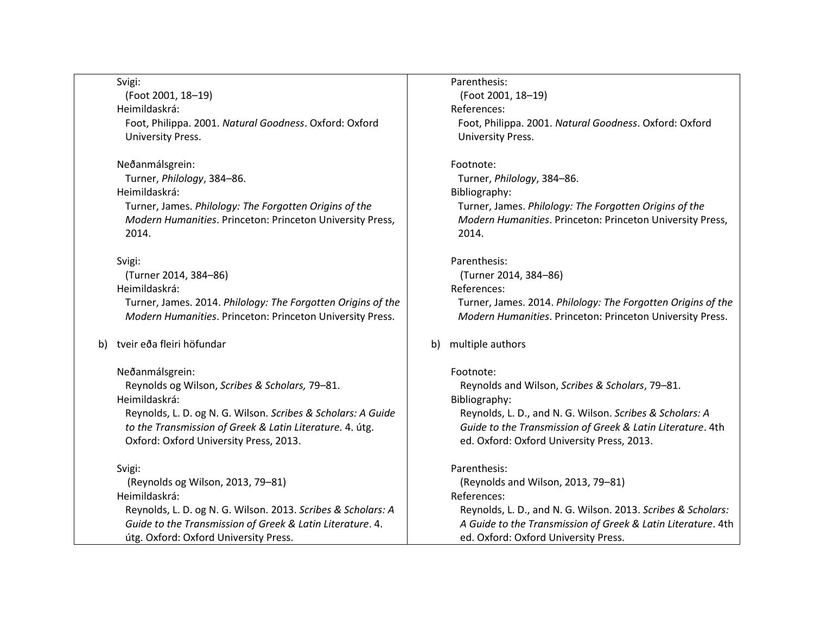| Svigi:                                                       | Parenthesis:                                                 |
|--------------------------------------------------------------|--------------------------------------------------------------|
| (Foot 2001, 18-19)                                           | (Foot 2001, 18-19)                                           |
| Heimildaskrá:                                                | References:                                                  |
| Foot, Philippa. 2001. Natural Goodness. Oxford: Oxford       | Foot, Philippa. 2001. Natural Goodness. Oxford: Oxford       |
| University Press.                                            | <b>University Press.</b>                                     |
| Neðanmálsgrein:                                              | Footnote:                                                    |
| Turner, Philology, 384-86.                                   | Turner, Philology, 384-86.                                   |
| Heimildaskrá:                                                | Bibliography:                                                |
| Turner, James. Philology: The Forgotten Origins of the       | Turner, James. Philology: The Forgotten Origins of the       |
| Modern Humanities. Princeton: Princeton University Press,    | Modern Humanities. Princeton: Princeton University Press,    |
| 2014.                                                        | 2014.                                                        |
| Svigi:                                                       | Parenthesis:                                                 |
| (Turner 2014, 384-86)                                        | (Turner 2014, 384-86)                                        |
| Heimildaskrá:                                                | References:                                                  |
| Turner, James. 2014. Philology: The Forgotten Origins of the | Turner, James. 2014. Philology: The Forgotten Origins of the |
| Modern Humanities. Princeton: Princeton University Press.    | Modern Humanities. Princeton: Princeton University Press.    |
| b) tveir eða fleiri höfundar                                 | multiple authors<br>b)                                       |
| Neðanmálsgrein:                                              | Footnote:                                                    |
| Reynolds og Wilson, Scribes & Scholars, 79-81.               | Reynolds and Wilson, Scribes & Scholars, 79-81.              |
| Heimildaskrá:                                                | Bibliography:                                                |
| Reynolds, L. D. og N. G. Wilson. Scribes & Scholars: A Guide | Reynolds, L. D., and N. G. Wilson. Scribes & Scholars: A     |
| to the Transmission of Greek & Latin Literature. 4. útg.     | Guide to the Transmission of Greek & Latin Literature. 4th   |
| Oxford: Oxford University Press, 2013.                       | ed. Oxford: Oxford University Press, 2013.                   |
| Svigi:                                                       | Parenthesis:                                                 |
| (Reynolds og Wilson, 2013, 79-81)                            | (Reynolds and Wilson, 2013, 79-81)                           |
| Heimildaskrá:                                                | References:                                                  |
| Reynolds, L. D. og N. G. Wilson. 2013. Scribes & Scholars: A | Reynolds, L. D., and N. G. Wilson. 2013. Scribes & Scholars: |
| Guide to the Transmission of Greek & Latin Literature. 4.    | A Guide to the Transmission of Greek & Latin Literature. 4th |
| útg. Oxford: Oxford University Press.                        | ed. Oxford: Oxford University Press.                         |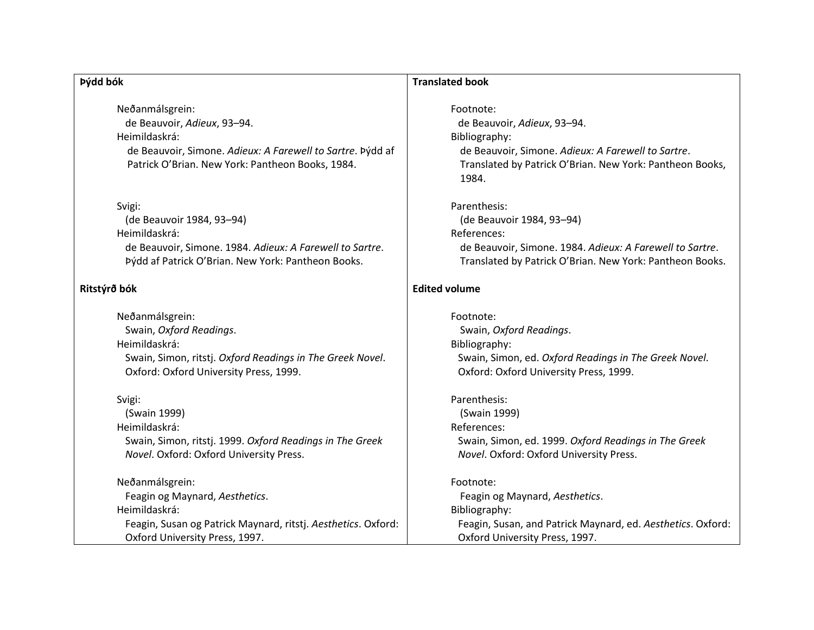## **Þýdd bók**

Neðanmálsgrein: de Beauvoir, *Adieux*, 93–94. Heimildaskrá: de Beauvoir, Simone. *Adieux: A Farewell to Sartre*. Þýdd af Patrick O'Brian. New York: Pantheon Books, 1984.

#### Svigi:

(de Beauvoir 1984, 93–94) Heimildaskrá: de Beauvoir, Simone. 1984. *Adieux: A Farewell to Sartre*. Þýdd af Patrick O'Brian. New York: Pantheon Books.

#### **Ritstýrð bók**

Neðanmálsgrein: Swain, *Oxford Readings*. Heimildaskrá: Swain, Simon, ritstj. *Oxford Readings in The Greek Novel*. Oxford: Oxford University Press, 1999.

#### Svigi:

(Swain 1999) Heimildaskrá: Swain, Simon, ritstj. 1999. *Oxford Readings in The Greek Novel*. Oxford: Oxford University Press.

Neðanmálsgrein: Feagin og Maynard, *Aesthetics*. Heimildaskrá: Feagin, Susan og Patrick Maynard, ritstj. *Aesthetics*. Oxford: Oxford University Press, 1997.

#### **Translated book**

Footnote:

de Beauvoir, *Adieux*, 93–94. Bibliography: de Beauvoir, Simone. *Adieux: A Farewell to Sartre*. Translated by Patrick O'Brian. New York: Pantheon Books, 1984.

Parenthesis: (de Beauvoir 1984, 93–94) References: de Beauvoir, Simone. 1984. *Adieux: A Farewell to Sartre*. Translated by Patrick O'Brian. New York: Pantheon Books.

### **Edited volume**

Footnote: Swain, *Oxford Readings*. Bibliography: Swain, Simon, ed. *Oxford Readings in The Greek Novel*. Oxford: Oxford University Press, 1999.

Parenthesis: (Swain 1999) References: Swain, Simon, ed. 1999. *Oxford Readings in The Greek Novel*. Oxford: Oxford University Press.

#### Footnote:

Feagin og Maynard, *Aesthetics*. Bibliography: Feagin, Susan, and Patrick Maynard, ed. *Aesthetics*. Oxford: Oxford University Press, 1997.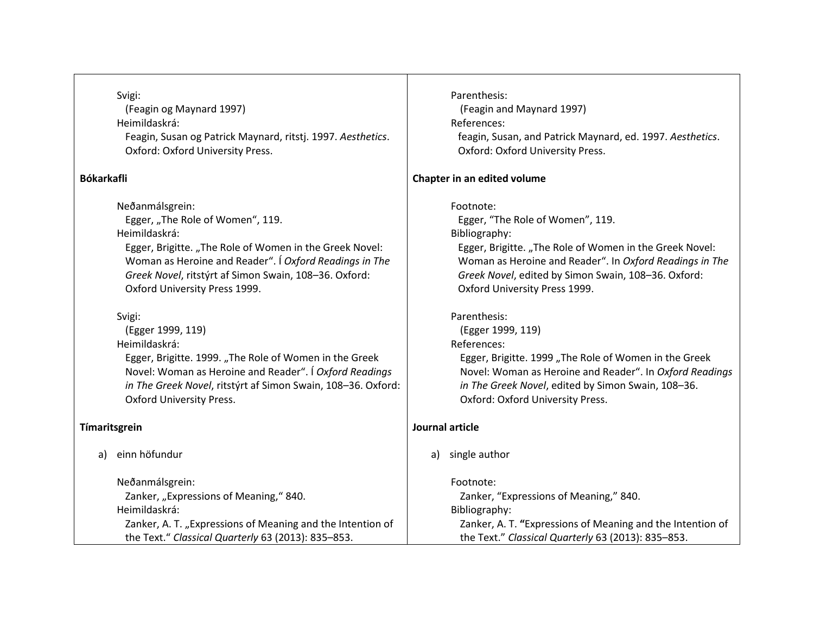Svigi:

(Feagin og Maynard 1997) Heimildaskrá: Feagin, Susan og Patrick Maynard, ritstj. 1997. *Aesthetics*. Oxford: Oxford University Press.

## **Bókarkafli**

Neðanmálsgrein: Egger, "The Role of Women", 119. Heimildaskrá: Egger, Brigitte. "The Role of Women in the Greek Novel: Woman as Heroine and Reader". Í *Oxford Readings in The Greek Novel*, ritstýrt af Simon Swain, 108–36. Oxford: Oxford University Press 1999.

Svigi:

(Egger 1999, 119) Heimildaskrá: Egger, Brigitte. 1999. "The Role of Women in the Greek Novel: Woman as Heroine and Reader". Í *Oxford Readings in The Greek Novel*, ritstýrt af Simon Swain, 108–36. Oxford: Oxford University Press.

## **Tímaritsgrein**

a) einn höfundur

Neðanmálsgrein: Zanker, "Expressions of Meaning," 840. Heimildaskrá: Zanker, A. T. "Expressions of Meaning and the Intention of the Text." *Classical Quarterly* 63 (2013): 835–853.

Parenthesis: (Feagin and Maynard 1997) References: feagin, Susan, and Patrick Maynard, ed. 1997. *Aesthetics*. Oxford: Oxford University Press. **Chapter in an edited volume** Footnote: Egger, "The Role of Women", 119. Bibliography: Egger, Brigitte. "The Role of Women in the Greek Novel: Woman as Heroine and Reader". In *Oxford Readings in The Greek Novel*, edited by Simon Swain, 108–36. Oxford: Oxford University Press 1999. Parenthesis: (Egger 1999, 119) References: Egger, Brigitte. 1999 "The Role of Women in the Greek Novel: Woman as Heroine and Reader". In *Oxford Readings in The Greek Novel*, edited by Simon Swain, 108–36. Oxford: Oxford University Press. **Journal article** a) single author Footnote: Zanker, "Expressions of Meaning," 840.

Bibliography:

Zanker, A. T. **"**Expressions of Meaning and the Intention of the Text." *Classical Quarterly* 63 (2013): 835–853.